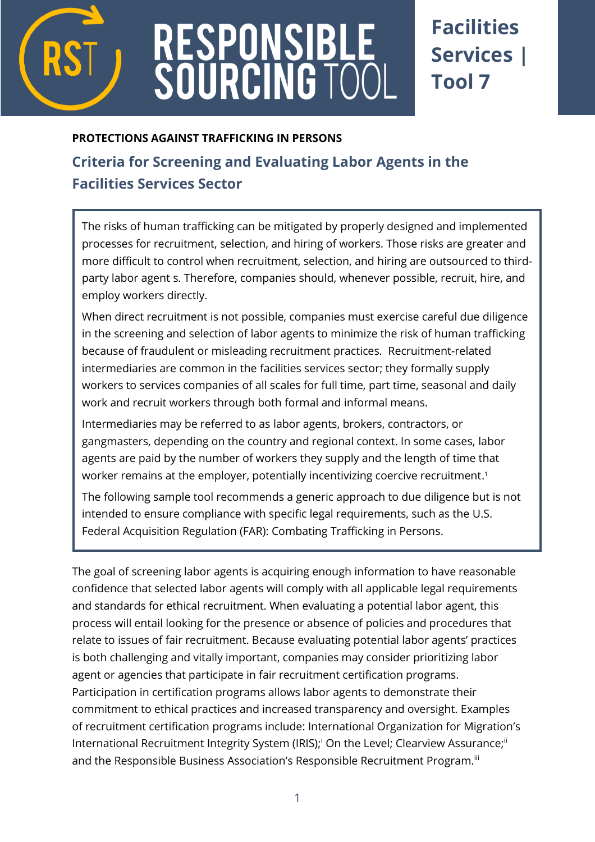

# RESPONSIBL<br>SOURCING TO

## **Facilities Services | Tool 7**

#### **PROTECTIONS AGAINST TRAFFICKING IN PERSONS**

### **[Criteria for Screening and Evaluating Labor Agents](http://www.verite.org/node/723/lightbox2) in the Facilities Services Sector**

The risks of human trafficking can be mitigated by properly designed and implemented processes for recruitment, selection, and hiring of workers. Those risks are greater and more difficult to control when recruitment, selection, and hiring are outsourced to thirdparty labor agent s. Therefore, companies should, whenever possible, recruit, hire, and employ workers directly.

When direct recruitment is not possible, companies must exercise careful due diligence in the screening and selection of labor agents to minimize the risk of human trafficking because of fraudulent or misleading recruitment practices. Recruitment-related intermediaries are common in the facilities services sector; they formally supply workers to services companies of all scales for full time, part time, seasonal and daily work and recruit workers through both formal and informal means.

Intermediaries may be referred to as labor agents, brokers, contractors, or gangmasters, depending on the country and regional context. In some cases, labor agents are paid by the number of workers they supply and the length of time that worker remains at the employer, potentially incentivizing coercive recruitment. 1

The following sample tool recommends a generic approach to due diligence but is not intended to ensure compliance with specific legal requirements, such as the U.S. Federal Acquisition Regulation (FAR): Combating Trafficking in Persons.

The goal of screening labor agents is acquiring enough information to have reasonable confidence that selected labor agents will comply with all applicable legal requirements and standards for ethical recruitment. When evaluating a potential labor agent, this process will entail looking for the presence or absence of policies and procedures that relate to issues of fair recruitment. Because evaluating potential labor agents' practices is both challenging and vitally important, companies may consider prioritizing labor agent or agencies that participate in fair recruitment certification programs. Participation in certification programs allows labor agents to demonstrate their commitment to ethical practices and increased transparency and oversight. Examples of recruitment certification programs include: International Organization for Migration's International Recruitment Integrity System (IRIS);<sup>i</sup> On the Level; Clearview Assurance;<sup>ii</sup> and the Responsible Business Association's Responsible Recruitment Program.<sup>iii</sup>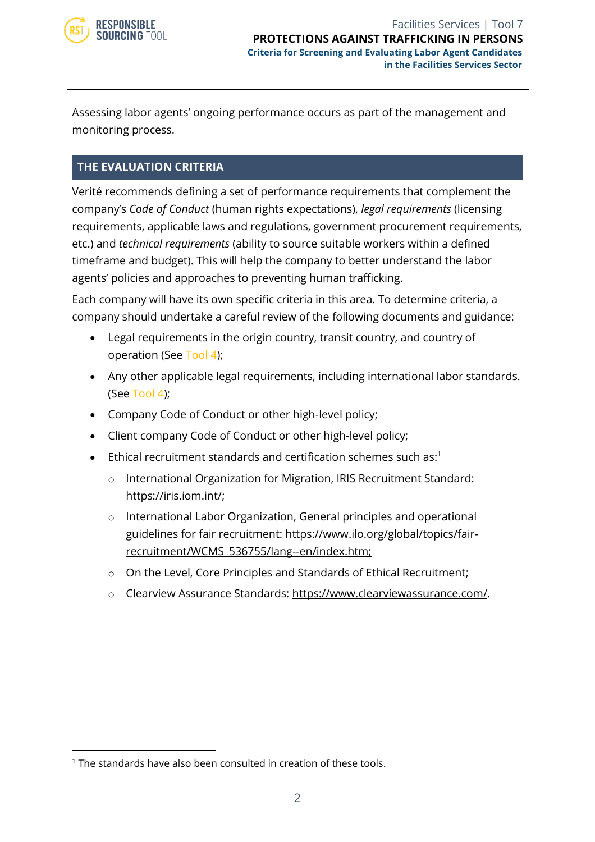

Assessing labor agents' ongoing performance occurs as part of the management and monitoring process.

#### **THE EVALUATION CRITERIA**

Verité recommends defining a set of performance requirements that complement the company's *Code of Conduct* (human rights expectations), *legal requirements* (licensing requirements, applicable laws and regulations, government procurement requirements, etc.) and *technical requirements* (ability to source suitable workers within a defined timeframe and budget). This will help the company to better understand the labor agents' policies and approaches to preventing human trafficking.

Each company will have its own specific criteria in this area. To determine criteria, a company should undertake a careful review of the following documents and guidance:

- Legal requirements in the origin country, transit country, and country of operation (See [Tool 4\)](https://www.responsiblesourcingtool.org/uploads/39/RST-Food-and-Bev-Tool-01B-Country-Level-Legal-Review-Outline.pdf);
- Any other applicable legal requirements, including international labor standards. (See [Tool 4\)](https://www.responsiblesourcingtool.org/uploads/39/RST-Food-and-Bev-Tool-01B-Country-Level-Legal-Review-Outline.pdf);
- Company Code of Conduct or other high-level policy;
- Client company Code of Conduct or other high-level policy;
- Ethical recruitment standards and certification schemes such as:1
	- o International Organization for Migration, IRIS Recruitment Standard: [https://iris.iom.int/;](https://iris.iom.int/)
	- o International Labor Organization, General principles and operational guidelines for fair recruitment: [https://www.ilo.org/global/topics/fair](https://www.ilo.org/global/topics/fair-recruitment/WCMS_536755/lang--en/index.htm)[recruitment/WCMS\\_536755/lang--en/index.htm;](https://www.ilo.org/global/topics/fair-recruitment/WCMS_536755/lang--en/index.htm)
	- o On the Level, Core Principles and Standards of Ethical Recruitment;
	- o Clearview Assurance Standards: [https://www.clearviewassurance.com/.](https://www.clearviewassurance.com/)

<sup>&</sup>lt;sup>1</sup> The standards have also been consulted in creation of these tools.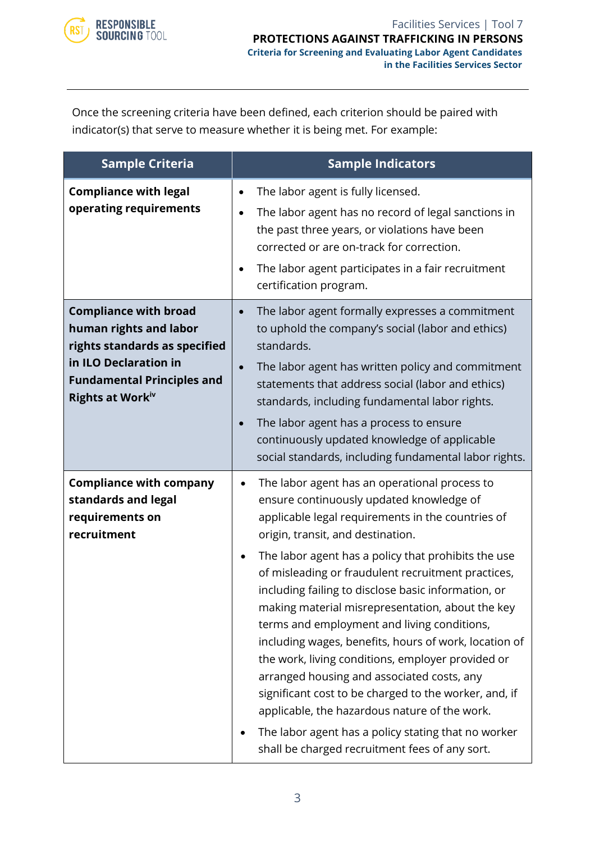

Once the screening criteria have been defined, each criterion should be paired with indicator(s) that serve to measure whether it is being met. For example:

| <b>Sample Criteria</b>                                                                                                                                                    | <b>Sample Indicators</b>                                                                                                                                                                                                                                                                                                                                                                                                                                                                                                                                                                                                                                                                                                                                                                                                                                                 |
|---------------------------------------------------------------------------------------------------------------------------------------------------------------------------|--------------------------------------------------------------------------------------------------------------------------------------------------------------------------------------------------------------------------------------------------------------------------------------------------------------------------------------------------------------------------------------------------------------------------------------------------------------------------------------------------------------------------------------------------------------------------------------------------------------------------------------------------------------------------------------------------------------------------------------------------------------------------------------------------------------------------------------------------------------------------|
| <b>Compliance with legal</b><br>operating requirements                                                                                                                    | The labor agent is fully licensed.<br>$\bullet$<br>The labor agent has no record of legal sanctions in<br>$\bullet$<br>the past three years, or violations have been<br>corrected or are on-track for correction.<br>The labor agent participates in a fair recruitment<br>$\bullet$<br>certification program.                                                                                                                                                                                                                                                                                                                                                                                                                                                                                                                                                           |
| <b>Compliance with broad</b><br>human rights and labor<br>rights standards as specified<br>in ILO Declaration in<br><b>Fundamental Principles and</b><br>Rights at Workiv | The labor agent formally expresses a commitment<br>$\bullet$<br>to uphold the company's social (labor and ethics)<br>standards.<br>The labor agent has written policy and commitment<br>$\bullet$<br>statements that address social (labor and ethics)<br>standards, including fundamental labor rights.<br>The labor agent has a process to ensure<br>$\bullet$<br>continuously updated knowledge of applicable<br>social standards, including fundamental labor rights.                                                                                                                                                                                                                                                                                                                                                                                                |
| <b>Compliance with company</b><br>standards and legal<br>requirements on<br>recruitment                                                                                   | The labor agent has an operational process to<br>٠<br>ensure continuously updated knowledge of<br>applicable legal requirements in the countries of<br>origin, transit, and destination.<br>The labor agent has a policy that prohibits the use<br>$\bullet$<br>of misleading or fraudulent recruitment practices,<br>including failing to disclose basic information, or<br>making material misrepresentation, about the key<br>terms and employment and living conditions,<br>including wages, benefits, hours of work, location of<br>the work, living conditions, employer provided or<br>arranged housing and associated costs, any<br>significant cost to be charged to the worker, and, if<br>applicable, the hazardous nature of the work.<br>The labor agent has a policy stating that no worker<br>$\bullet$<br>shall be charged recruitment fees of any sort. |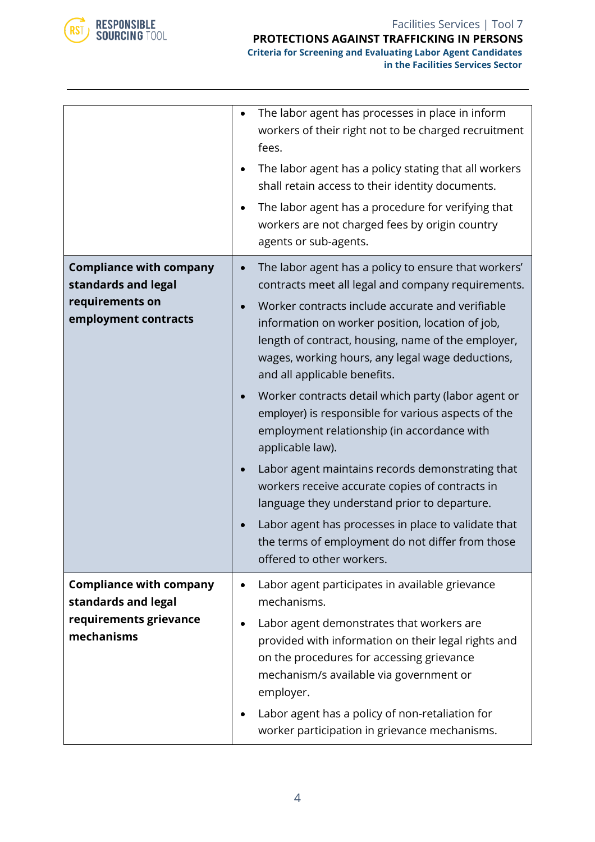

|                                                                                                  | The labor agent has processes in place in inform<br>workers of their right not to be charged recruitment<br>fees.<br>The labor agent has a policy stating that all workers<br>shall retain access to their identity documents.<br>The labor agent has a procedure for verifying that<br>workers are not charged fees by origin country<br>agents or sub-agents.                                                                                                                                                                                                                                                                                                                                                                                                                                                                              |
|--------------------------------------------------------------------------------------------------|----------------------------------------------------------------------------------------------------------------------------------------------------------------------------------------------------------------------------------------------------------------------------------------------------------------------------------------------------------------------------------------------------------------------------------------------------------------------------------------------------------------------------------------------------------------------------------------------------------------------------------------------------------------------------------------------------------------------------------------------------------------------------------------------------------------------------------------------|
| <b>Compliance with company</b><br>standards and legal<br>requirements on<br>employment contracts | The labor agent has a policy to ensure that workers'<br>contracts meet all legal and company requirements.<br>Worker contracts include accurate and verifiable<br>information on worker position, location of job,<br>length of contract, housing, name of the employer,<br>wages, working hours, any legal wage deductions,<br>and all applicable benefits.<br>Worker contracts detail which party (labor agent or<br>employer) is responsible for various aspects of the<br>employment relationship (in accordance with<br>applicable law).<br>Labor agent maintains records demonstrating that<br>workers receive accurate copies of contracts in<br>language they understand prior to departure.<br>Labor agent has processes in place to validate that<br>the terms of employment do not differ from those<br>offered to other workers. |
| <b>Compliance with company</b><br>standards and legal<br>requirements grievance<br>mechanisms    | Labor agent participates in available grievance<br>mechanisms.<br>Labor agent demonstrates that workers are<br>provided with information on their legal rights and<br>on the procedures for accessing grievance<br>mechanism/s available via government or<br>employer.<br>Labor agent has a policy of non-retaliation for<br>worker participation in grievance mechanisms.                                                                                                                                                                                                                                                                                                                                                                                                                                                                  |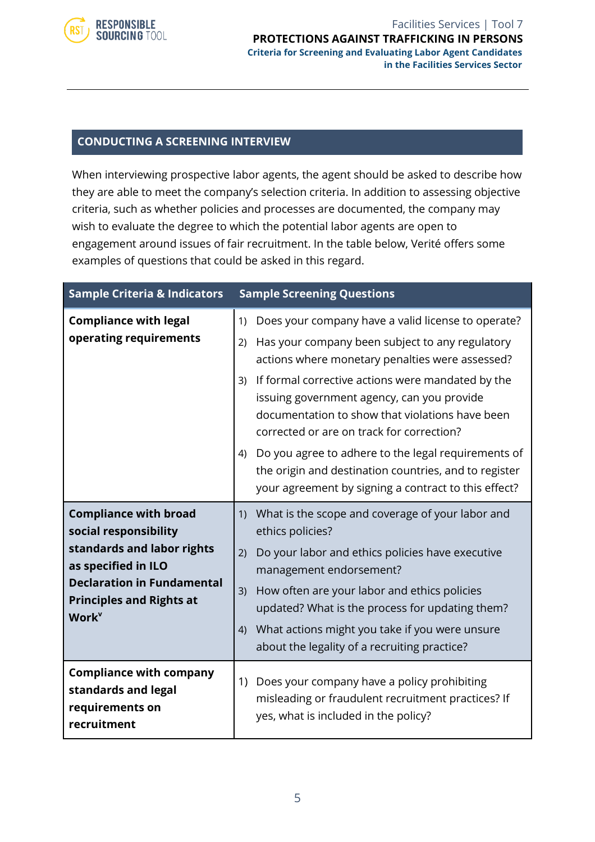

#### Facilities Services | Tool 7 **PROTECTIONS AGAINST TRAFFICKING IN PERSONS [Criteria for Screening and Evaluating Labor Agent](http://www.verite.org/node/723/lightbox2) Candidates in the Facilities Services Sector**

#### **CONDUCTING A SCREENING INTERVIEW**

When interviewing prospective labor agents, the agent should be asked to describe how they are able to meet the company's selection criteria. In addition to assessing objective criteria, such as whether policies and processes are documented, the company may wish to evaluate the degree to which the potential labor agents are open to engagement around issues of fair recruitment. In the table below, Verité offers some examples of questions that could be asked in this regard.

| <b>Sample Criteria &amp; Indicators</b>                                                                                                                                                                        | <b>Sample Screening Questions</b>                                                                                                                                                                                                                                                                                                                                                |  |  |
|----------------------------------------------------------------------------------------------------------------------------------------------------------------------------------------------------------------|----------------------------------------------------------------------------------------------------------------------------------------------------------------------------------------------------------------------------------------------------------------------------------------------------------------------------------------------------------------------------------|--|--|
| <b>Compliance with legal</b><br>operating requirements                                                                                                                                                         | Does your company have a valid license to operate?<br>1)<br>Has your company been subject to any regulatory<br>2)<br>actions where monetary penalties were assessed?<br>If formal corrective actions were mandated by the<br>3)<br>issuing government agency, can you provide<br>documentation to show that violations have been<br>corrected or are on track for correction?    |  |  |
|                                                                                                                                                                                                                | Do you agree to adhere to the legal requirements of<br>4)<br>the origin and destination countries, and to register<br>your agreement by signing a contract to this effect?                                                                                                                                                                                                       |  |  |
| <b>Compliance with broad</b><br>social responsibility<br>standards and labor rights<br>as specified in ILO<br><b>Declaration in Fundamental</b><br><b>Principles and Rights at</b><br><b>Work</b> <sup>v</sup> | What is the scope and coverage of your labor and<br>1)<br>ethics policies?<br>Do your labor and ethics policies have executive<br>2)<br>management endorsement?<br>How often are your labor and ethics policies<br>3)<br>updated? What is the process for updating them?<br>What actions might you take if you were unsure<br>4)<br>about the legality of a recruiting practice? |  |  |
| <b>Compliance with company</b><br>standards and legal<br>requirements on<br>recruitment                                                                                                                        | Does your company have a policy prohibiting<br>1)<br>misleading or fraudulent recruitment practices? If<br>yes, what is included in the policy?                                                                                                                                                                                                                                  |  |  |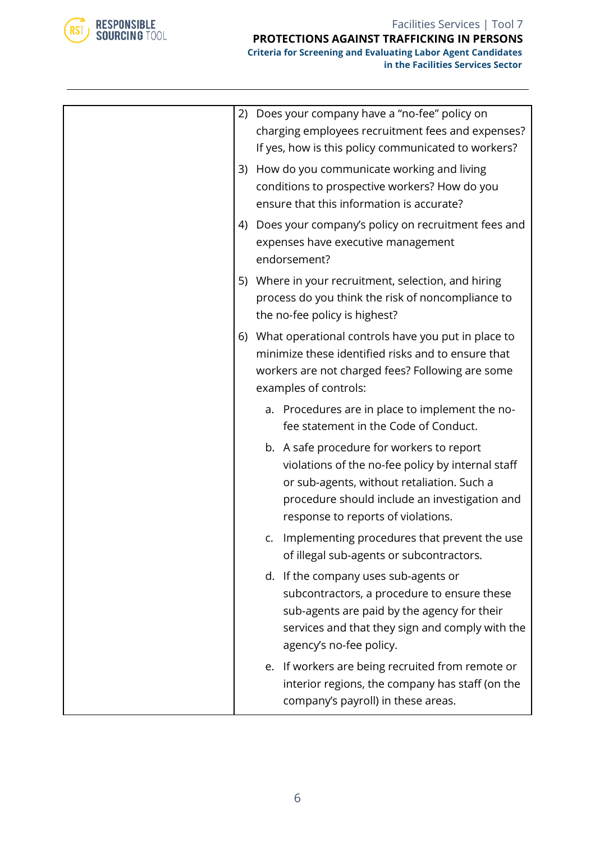

#### Facilities Services | Tool 7 **PROTECTIONS AGAINST TRAFFICKING IN PERSONS [Criteria for Screening and Evaluating Labor Agent](http://www.verite.org/node/723/lightbox2) Candidates**

**in the Facilities Services Sector**

|    |    | 2) Does your company have a "no-fee" policy on<br>charging employees recruitment fees and expenses?<br>If yes, how is this policy communicated to workers?                                                                          |
|----|----|-------------------------------------------------------------------------------------------------------------------------------------------------------------------------------------------------------------------------------------|
|    |    | 3) How do you communicate working and living<br>conditions to prospective workers? How do you<br>ensure that this information is accurate?                                                                                          |
|    |    | 4) Does your company's policy on recruitment fees and<br>expenses have executive management<br>endorsement?                                                                                                                         |
|    |    | 5) Where in your recruitment, selection, and hiring<br>process do you think the risk of noncompliance to<br>the no-fee policy is highest?                                                                                           |
| 6) |    | What operational controls have you put in place to<br>minimize these identified risks and to ensure that<br>workers are not charged fees? Following are some<br>examples of controls:                                               |
|    |    | a. Procedures are in place to implement the no-<br>fee statement in the Code of Conduct.                                                                                                                                            |
|    |    | b. A safe procedure for workers to report<br>violations of the no-fee policy by internal staff<br>or sub-agents, without retaliation. Such a<br>procedure should include an investigation and<br>response to reports of violations. |
|    | C. | Implementing procedures that prevent the use<br>of illegal sub-agents or subcontractors.                                                                                                                                            |
|    |    | d. If the company uses sub-agents or<br>subcontractors, a procedure to ensure these<br>sub-agents are paid by the agency for their<br>services and that they sign and comply with the<br>agency's no-fee policy.                    |
|    |    | e. If workers are being recruited from remote or<br>interior regions, the company has staff (on the<br>company's payroll) in these areas.                                                                                           |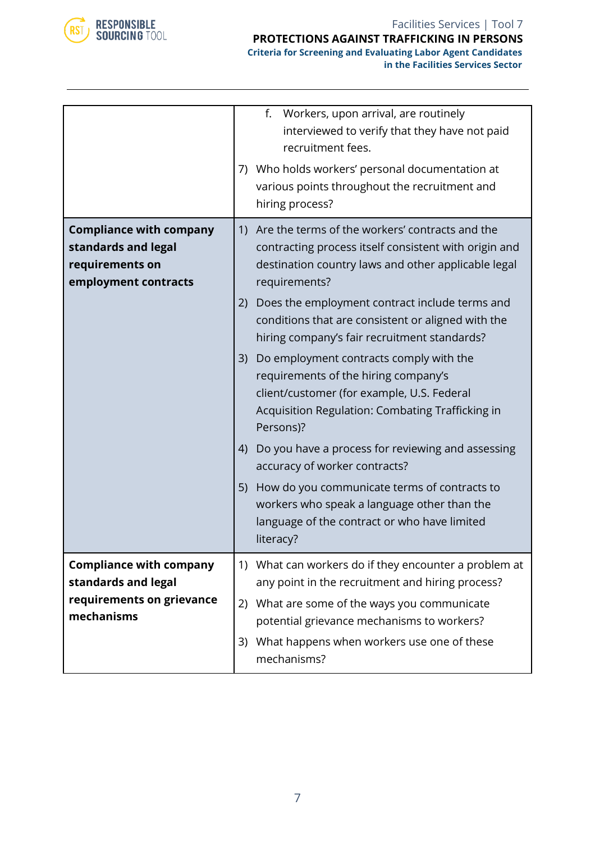

**in the Facilities Services Sector**

|                                                                                                  | f.<br>Workers, upon arrival, are routinely<br>interviewed to verify that they have not paid<br>recruitment fees.<br>7) Who holds workers' personal documentation at<br>various points throughout the recruitment and<br>hiring process?                                                                                                                                                                                                                                                                                                                                                                                                                                                                                                                                                                                  |
|--------------------------------------------------------------------------------------------------|--------------------------------------------------------------------------------------------------------------------------------------------------------------------------------------------------------------------------------------------------------------------------------------------------------------------------------------------------------------------------------------------------------------------------------------------------------------------------------------------------------------------------------------------------------------------------------------------------------------------------------------------------------------------------------------------------------------------------------------------------------------------------------------------------------------------------|
| <b>Compliance with company</b><br>standards and legal<br>requirements on<br>employment contracts | 1) Are the terms of the workers' contracts and the<br>contracting process itself consistent with origin and<br>destination country laws and other applicable legal<br>requirements?<br>Does the employment contract include terms and<br>(2)<br>conditions that are consistent or aligned with the<br>hiring company's fair recruitment standards?<br>Do employment contracts comply with the<br>3)<br>requirements of the hiring company's<br>client/customer (for example, U.S. Federal<br>Acquisition Regulation: Combating Trafficking in<br>Persons)?<br>Do you have a process for reviewing and assessing<br>4)<br>accuracy of worker contracts?<br>How do you communicate terms of contracts to<br>5)<br>workers who speak a language other than the<br>language of the contract or who have limited<br>literacy? |
| <b>Compliance with company</b><br>standards and legal<br>requirements on grievance<br>mechanisms | 1) What can workers do if they encounter a problem at<br>any point in the recruitment and hiring process?<br>What are some of the ways you communicate<br>2)<br>potential grievance mechanisms to workers?<br>What happens when workers use one of these<br>3)<br>mechanisms?                                                                                                                                                                                                                                                                                                                                                                                                                                                                                                                                            |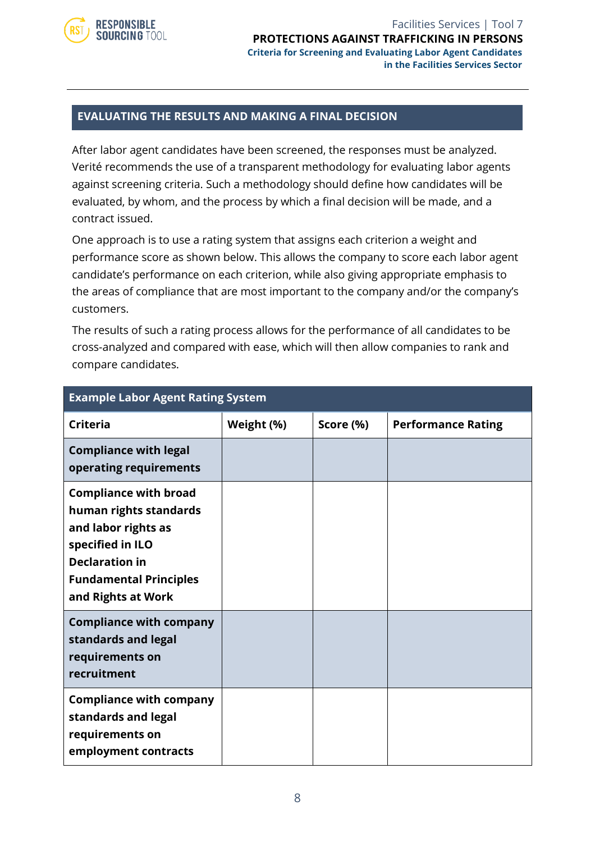

Facilities Services | Tool 7 **PROTECTIONS AGAINST TRAFFICKING IN PERSONS [Criteria for Screening and Evaluating Labor Agent](http://www.verite.org/node/723/lightbox2) Candidates in the Facilities Services Sector**

#### **EVALUATING THE RESULTS AND MAKING A FINAL DECISION**

After labor agent candidates have been screened, the responses must be analyzed. Verité recommends the use of a transparent methodology for evaluating labor agents against screening criteria. Such a methodology should define how candidates will be evaluated, by whom, and the process by which a final decision will be made, and a contract issued.

One approach is to use a rating system that assigns each criterion a weight and performance score as shown below. This allows the company to score each labor agent candidate's performance on each criterion, while also giving appropriate emphasis to the areas of compliance that are most important to the company and/or the company's customers.

The results of such a rating process allows for the performance of all candidates to be cross-analyzed and compared with ease, which will then allow companies to rank and compare candidates.

| <b>Example Labor Agent Rating System</b>                                                                                                                                          |            |           |                           |  |  |
|-----------------------------------------------------------------------------------------------------------------------------------------------------------------------------------|------------|-----------|---------------------------|--|--|
| Criteria                                                                                                                                                                          | Weight (%) | Score (%) | <b>Performance Rating</b> |  |  |
| <b>Compliance with legal</b><br>operating requirements                                                                                                                            |            |           |                           |  |  |
| <b>Compliance with broad</b><br>human rights standards<br>and labor rights as<br>specified in ILO<br><b>Declaration in</b><br><b>Fundamental Principles</b><br>and Rights at Work |            |           |                           |  |  |
| <b>Compliance with company</b><br>standards and legal<br>requirements on<br>recruitment                                                                                           |            |           |                           |  |  |
| <b>Compliance with company</b><br>standards and legal<br>requirements on<br>employment contracts                                                                                  |            |           |                           |  |  |